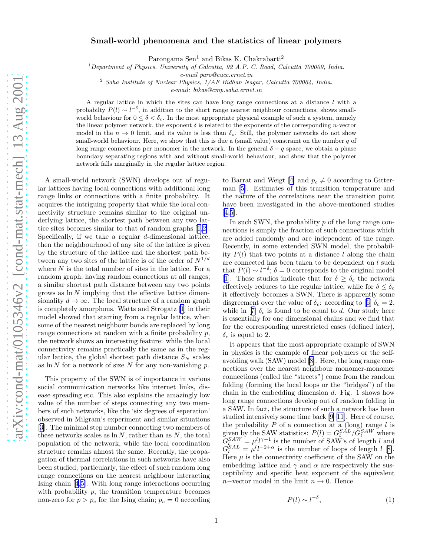## Small-world phenomena and the statistics of linear polymers

Parongama Sen<sup>1</sup> and Bikas K. Chakrabarti<sup>2</sup>

<sup>1</sup>*Department of Physics, University of Calcutta, 92 A.P. C. Road, Calcutta 700009, India.*

*e-mail paro@cucc.ernet.in*

<sup>2</sup> *Saha Institute of Nuclear Physics, 1/AF Bidhan Nagar, Calcutta 700064, India.*

*e-mail: bikas@cmp.saha.ernet.in*

A regular lattice in which the sites can have long range connections at a distance l with a probabilty  $P(l) \sim l^{-\delta}$ , in addition to the short range nearest neighbour connections, shows smallworld behaviour for  $0 \le \delta < \delta_c$ . In the most appropriate physical example of such a system, namely the linear polymer network, the exponent  $\delta$  is related to the exponents of the corresponding *n*-vector model in the  $n \to 0$  limit, and its value is less than  $\delta_c$ . Still, the polymer networks do not show small-world behaviour. Here, we show that this is due a (small value) constraint on the number  $q$  of long range connections per monomer in the network. In the general  $\delta - q$  space, we obtain a phase boundary separating regions with and without small-world behaviour, and show that the polymer network falls marginally in the regular lattice region.

A small-world network (SWN) develops out of regular lattices having local connections with additional long range links or connections with a finite probability. It acquires the intriguing property that while the local connectivity structure remains similar to the original underlying lattice, the shortest path between any two lattice sites becomes similar to that of random graphs[[1,2\]](#page-2-0). Specifically, if we take a regular  $d$ -dimensional lattice, then the neighbourhood of any site of the lattice is given by the structure of the lattice and the shortest path between any two sites of the lattice is of the order of  $N^{1/d}$ where  $N$  is the total number of sites in the lattice. For a random graph, having random connections at all ranges, a similar shortest path distance between any two points grows as  $\ln N$  implying that the effective lattice dimensionality  $d \to \infty$ . The local structure of a random graph is completely amorphous. Watts and Strogatz [\[1](#page-2-0)] in their model showed that starting from a regular lattice, when some of the nearest neighbour bonds are replaced by long range connections at random with a finite probability  $p$ , the network shows an interesting feature: while the local connectivity remains practically the same as in the regular lattice, the global shortest path distance  $S_N$  scales as  $\ln N$  for a network of size N for any non-vanishing p.

This property of the SWN is of importance in various social communication networks like internet links, disease spreading etc. This also explains the amazingly low value of the number of steps connecting any two members of such networks, like the 'six degrees of seperation' observed in Milgram's experiment and similar situations [[3\]](#page-2-0). The minimal step number connecting two members of these networks scales as  $\ln N$ , rather than as N, the total population of the network, while the local coordination structure remains almost the same. Recently, the propagation of thermal correlations in such networks have also been studied; particularly, the effect of such random long range connections on the nearest neighbour interacting Ising chain [\[4](#page-2-0),[5\]](#page-2-0). With long range interactions occurring with probability  $p$ , the transition temperature becomes non-zero for  $p > p_c$  for the Ising chain;  $p_c = 0$  according

toBarrat and Weigt [[4\]](#page-2-0) and  $p_c \neq 0$  according to Gitterman[[5\]](#page-2-0). Estimates of this transition temperature and the nature of the correlations near the transition point have been investigated in the above-mentioned studies [[4,5\]](#page-2-0).

In such SWN, the probability p of the long range connections is simply the fraction of such connections which are added randomly and are independent of the range. Recently, in some extended SWN model, the probability  $P(l)$  that two points at a distance l along the chain are connected has been taken to be dependent on  $l$  such that  $P(l) \sim l^{-\delta}$ ;  $\delta = 0$  corresponds to the original model [[1\]](#page-2-0). These studies indicate that for  $\delta \geq \delta_c$  the network effectively reduces to the regular lattice, while for  $\delta \leq \delta_c$ it effectively becomes a SWN. There is apparently some disgreementover the value of  $\delta_c$ : according to [[6\]](#page-2-0)  $\delta_c = 2$ , whilein [[7\]](#page-2-0)  $\delta_c$  is found to be equal to d. Our study here is essentially for one dimensional chains and we find that for the corresponding unrestricted cases (defined later),  $\delta_c$  is equal to 2.

It appears that the most appropriate example of SWN in physics is the example of linear polymers or the selfavoiding walk (SAW) model [\[8](#page-2-0)]. Here, the long range connections over the nearest neighbour monomer-monomer connections (called the "streets") come from the random folding (forming the local loops or the "bridges") of the chain in the embedding dimension  $d$ . Fig. 1 shows how long range connections develop out of random folding in a SAW. In fact, the structure of such a network has been studied intensively some time back[[9–11\]](#page-2-0). Here of course, the probability  $P$  of a connection at a (long) range  $l$  is given by the SAW statistics:  $P(l) = G_l^{SAL} / G_l^{SAW}$  where  $G_{l_{1},l_{2}}^{SAW} = \mu_l^l l^{\gamma-1}$  is the number of SAW's of length l and  $G_l^{SAL} = \mu^l l^{-2+\alpha}$  is the number of loops of length  $l$  [[8\]](#page-2-0). Here  $\mu$  is the connectivity coefficient of the SAW on the embedding lattice and  $\gamma$  and  $\alpha$  are respectively the susceptibility and specific heat exponent of the equivalent n−vector model in the limit  $n \to 0$ . Hence

$$
P(l) \sim l^{-\delta},\tag{1}
$$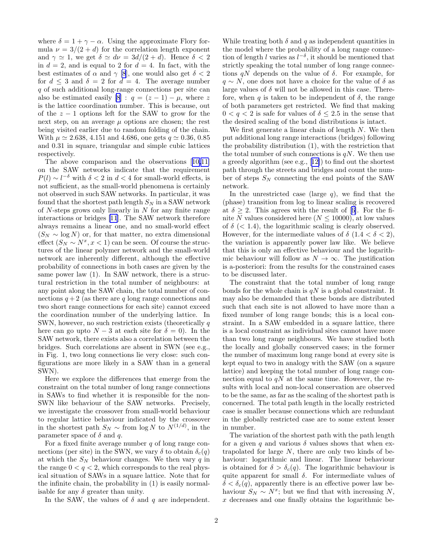where  $\delta = 1 + \gamma - \alpha$ . Using the approximate Flory formula  $\nu = 3/(2 + d)$  for the correlation length exponent and  $\gamma \simeq 1$ , we get  $\delta \simeq d\nu = 3d/(2+d)$ . Hence  $\delta < 2$ in  $d = 2$ , and is equal to 2 for  $d = 4$ . In fact, with the best estimates of  $\alpha$  and  $\gamma$  [\[8](#page-2-0)], one would also get  $\delta < 2$ for  $d \leq 3$  and  $\delta = 2$  for  $d = 4$ . The average number q of such additional long-range connections per site can also be estimated easily [\[8](#page-2-0)] :  $q = (z - 1) - \mu$ , where z is the lattice coordination number. This is because, out of the  $z - 1$  options left for the SAW to grow for the next step, on an average  $\mu$  options are chosen; the rest being visited earlier due to random folding of the chain. With  $\mu \approx 2.638, 4.151$  and 4.686, one gets  $q \approx 0.36, 0.85$ and 0.31 in square, triangular and simple cubic lattices respectively.

The above comparison and the observations[[10,11\]](#page-2-0) on the SAW networks indicate that the requirement  $P(l) \sim l^{-\delta}$  with  $\delta < 2$  in  $d < 4$  for small-world effects, is not sufficient, as the small-world phenomena is certainly not observed in such SAW networks. In particular, it was found that the shortest path length  $S_N$  in a SAW network of  $N$ -steps grows only linearly in  $N$  for any finite range interactions or bridges [\[11](#page-2-0)]. The SAW network therefore always remains a linear one, and no small-world effect  $(S_N \sim \log N)$  or, for that matter, no extra dimensional effect  $(S_N \sim N^x, x < 1)$  can be seen. Of course the structures of the linear polymer network and the small-world network are inherently different, although the effective probability of connections in both cases are given by the same power law (1). In SAW network, there is a structural restriction in the total number of neighbours: at any point along the SAW chain, the total number of connections  $q + 2$  (as there are q long range connections and two short range connections for each site) cannot exceed the coordination number of the underlying lattice. In SWN, however, no such restriction exists (theoretically  $q$ here can go upto  $N-3$  at each site for  $\delta = 0$ ). In the SAW network, there exists also a correlation between the bridges. Such correlations are absent in SWN (see e.g., in Fig. 1, two long connections lie very close: such configurations are more likely in a SAW than in a general SWN).

Here we explore the differences that emerge from the constraint on the total number of long range connections in SAWs to find whether it is responsible for the non-SWN like behaviour of the SAW networks. Precisely, we investigate the crossover from small-world behaviour to regular lattice behaviour indicated by the crossover in the shortest path  $S_N \sim \text{from } \log N$  to  $N^{(1/d)}$ , in the parameter space of  $\delta$  and  $q$ .

For a fixed finite average number  $q$  of long range connections (per site) in the SWN, we vary  $\delta$  to obtain  $\delta_c(q)$ at which the  $S_N$  behaviour changes. We then vary q in the range  $0 < q < 2$ , which corresponds to the real physical situation of SAWs in a square lattice. Note that for the infinite chain, the probability in (1) is easily normalisable for any  $\delta$  greater than unity.

In the SAW, the values of  $\delta$  and q are independent.

While treating both  $\delta$  and  $q$  as independent quantities in the model where the probability of a long range connection of length l varies as  $l^{-\delta}$ , it should be mentioned that strictly speaking the total number of long range connections  $qN$  depends on the value of  $\delta$ . For example, for  $q \sim N$ , one does not have a choice for the value of  $\delta$  as large values of  $\delta$  will not be allowed in this case. Therefore, when q is taken to be independent of  $\delta$ , the range of both parameters get restricted. We find that making  $0 < q < 2$  is safe for values of  $\delta \leq 2.5$  in the sense that the desired scaling of the bond distributions is intact.

We first generate a linear chain of length  $N$ . We then put additional long range interactions (bridges) following the probability distribution (1), with the restriction that the total number of such connections is  $qN$ . We then use a greedy algorithm (see e.g.,[[12\]](#page-2-0)) to find out the shortest path through the streets and bridges and count the number of steps  $S_N$  connecting the end points of the SAW network.

In the unrestricted case (large  $q$ ), we find that the (phase) transition from log to linear scaling is recovered at $\delta \geq 2$ . This agrees with the result of [[6\]](#page-2-0). For the finite N values considered here ( $N \le 10000$ ), at low values of  $\delta$  (< 1.4), the logarithmic scaling is clearly observed. However, for the intermediate values of  $\delta$  (1.4 <  $\delta$  < 2), the variation is apparently power law like. We believe that this is only an effective behaviour and the logarithmic behaviour will follow as  $N \to \infty$ . The justification is a-posteriori: from the results for the constrained cases to be discussed later.

The constraint that the total number of long range bonds for the whole chain is  $qN$  is a global constraint. It may also be demanded that these bonds are distributed such that each site is not allowed to have more than a fixed number of long range bonds; this is a local constraint. In a SAW embedded in a square lattice, there is a local constraint as individual sites cannot have more than two long range neighbours. We have studied both the locally and globally conserved cases; in the former the number of maximum long range bond at every site is kept equal to two in analogy with the SAW (on a sqaure lattice) and keeping the total number of long range connection equal to  $qN$  at the same time. However, the results with local and non-local conservation are observed to be the same, as far as the scaling of the shortest path is concerned. The total path length in the locally restricted case is smaller because connections which are redundant in the globally restricted case are to some extent lesser in number.

The variation of the shortest path with the path length for a given q and various  $\delta$  values shows that when extrapolated for large N, there are only two kinds of behaviour: logarithmic and linear. The linear behaviour is obtained for  $\delta > \delta_c(q)$ . The logarithmic behaviour is quite apparent for small  $\delta$ . For intermediate values of  $\delta < \delta_c(q)$ , apparently there is an effective power law behaviour  $S_N \sim N^x$ ; but we find that with increasing N, x decreases and one finally obtains the logarithmic be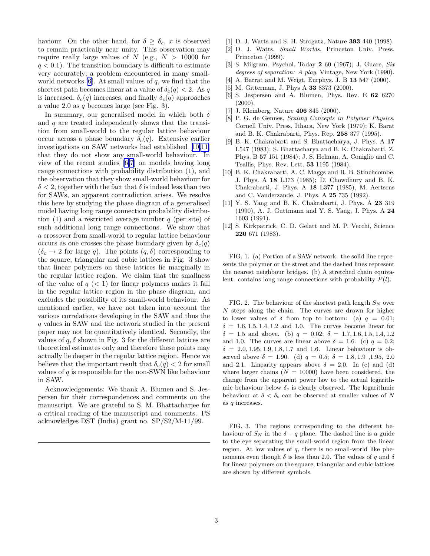<span id="page-2-0"></span>haviour. On the other hand, for  $\delta \geq \delta_c$ , x is observed to remain practically near unity. This observation may require really large values of  $N$  (e.g.,  $N > 10000$  for  $q < 0.1$ ). The transition boundary is difficult to estimate very accurately; a problem encountered in many smallworld networks  $[6]$ . At small values of q, we find that the shortest path becomes linear at a value of  $\delta_c(q) < 2$ . As q is increased,  $\delta_c(q)$  increases, and finally  $\delta_c(q)$  approaches a value 2.0 as  $q$  becomes large (see Fig. 3).

In summary, our generalised model in which both  $\delta$ and  $q$  are treated independently shows that the transition from small-world to the regular lattice behaviour occur across a phase boundary  $\delta_c(q)$ . Extensive earlier investigations on SAW networks had established [10,11] that they do not show any small-world behaviour. In view of the recent studies [6,7] on models having long range connections with probability distribution (1), and the observation that they show small-world behaviour for  $\delta$  < 2, together with the fact that  $\delta$  is indeed less than two for SAWs, an apparent contradiction arises. We resolve this here by studying the phase diagram of a generalised model having long range connection probability distribution (1) and a restricted average number  $q$  (per site) of such additional long range connections. We show that a crossover from small-world to regular lattice behaviour occurs as one crosses the phase boundary given by  $\delta_c(q)$  $(\delta_c \rightarrow 2$  for large q). The points  $(q, \delta)$  corresponding to the square, triangular and cubic lattices in Fig. 3 show that linear polymers on these lattices lie marginally in the regular lattice region. We claim that the smallness of the value of  $q \, \langle \, 1 \rangle$  for linear polymers makes it fall in the regular lattice region in the phase diagram, and excludes the possibility of its small-world behaviour. As mentioned earlier, we have not taken into account the various correlations developing in the SAW and thus the q values in SAW and the network studied in the present paper may not be quantitatively identical. Secondly, the values of  $q$ ,  $\delta$  shown in Fig. 3 for the different lattices are theoretical estimates only and therefore these points may actually lie deeper in the regular lattice region. Hence we believe that the important result that  $\delta_c(q) < 2$  for small values of  $q$  is responsible for the non-SWN like behaviour in SAW.

Acknowledgements: We thank A. Blumen and S. Jespersen for their correspondences and comments on the manuscript. We are grateful to S. M. Bhattacharjee for a critical reading of the manuscript and comments. PS acknowledges DST (India) grant no. SP/S2/M-11/99.

- [1] D. J. Watts and S. H. Strogatz, Nature 393 440 (1998).
- [2] D. J. Watts, *Small Worlds*, Princeton Univ. Press, Princeton (1999).
- [3] S. Milgram, Psychol. Today 2 60 (1967); J. Guare, *Six degrees of separation: A play*, Vintage, New York (1990).
- [4] A. Barrat and M. Weigt, Eurphys. J. B **13** 547 (2000).
- [5] M. Gitterman, J. Phys A **33** 8373 (2000).
- [6] S. Jespersen and A. Blumen, Phys. Rev. E 62 6270  $(2000).$
- [7] J. Kleinberg, Nature 406 845 (2000).
- [8] P. G. de Gennes, *Scaling Concepts in Polymer Physics*, Cornell Univ. Press, Ithaca, New York (1979); K. Barat and B. K. Chakrabarti, Phys. Rep. 258 377 (1995).
- [9] B. K. Chakrabarti and S. Bhattacharya, J. Phys. A 17 L547 (1983); S. Bhattacharya and B. K. Chakrabarti, Z. Phys. B 57 151 (1984); J. S. Helman, A. Coniglio and C. Tsallis, Phys. Rev. Lett. 53 1195 (1984).
- [10] B. K. Chakrabarti, A. C. Maggs and R. B. Stinchcombe, J. Phys. A 18 L373 (1985); D. Chowdhury and B. K. Chakrabarti, J. Phys. A 18 L377 (1985), M. Aertsens and C. Vanderzande, J. Phys. A 25 735 (1992).
- [11] Y. S. Yang and B. K. Chakrabarti, J. Phys. A 23 319 (1990), A. J. Guttmann and Y. S. Yang, J. Phys. A 24 1603 (1991).
- [12] S. Kirkpatrick, C. D. Gelatt and M. P. Vecchi, Science 220 671 (1983).

FIG. 1. (a) Portion of a SAW network: the solid line represents the polymer or the street and the dashed lines represent the nearest neighbour bridges. (b) A stretched chain equivalent: contains long range connections with probability  $P(l)$ .

FIG. 2. The behaviour of the shortest path length  $S_N$  over N steps along the chain. The curves are drawn for higher to lower values of  $\delta$  from top to bottom: (a)  $q = 0.01$ ;  $\delta = 1.6, 1.5, 1.4, 1.2$  and 1.0. The curves become linear for  $\delta = 1.5$  and above. (b)  $q = 0.02$ ;  $\delta = 1.7, 1.6, 1.5, 1.4, 1.2$ and 1.0. The curves are linear above  $\delta = 1.6$ . (c)  $q = 0.2$ ;  $\delta = 2.0, 1.95, 1.9, 1.8, 1.7$  and 1.6. Linear behaviour is observed above  $\delta = 1.90$ . (d)  $q = 0.5$ ;  $\delta = 1.8, 1.9, 1.95, 2.0$ and 2.1. Linearity appears above  $\delta = 2.0$ . In (c) and (d) where larger chains  $(N = 10000)$  have been considered, the change from the apparent power law to the actual logarithmic behaviour below  $\delta_c$  is clearly observed. The logarithmic behaviour at  $\delta < \delta_c$  can be observed at smaller values of N as q increases.

FIG. 3. The regions corresponding to the different behaviour of  $S_N$  in the  $\delta - q$  plane. The dashed line is a guide to the eye separating the small-world region from the linear region. At low values of  $q$ , there is no small-world like phenomena even though  $\delta$  is less than 2.0. The values of q and  $\delta$ for linear polymers on the square, triangular and cubic lattices are shown by different symbols.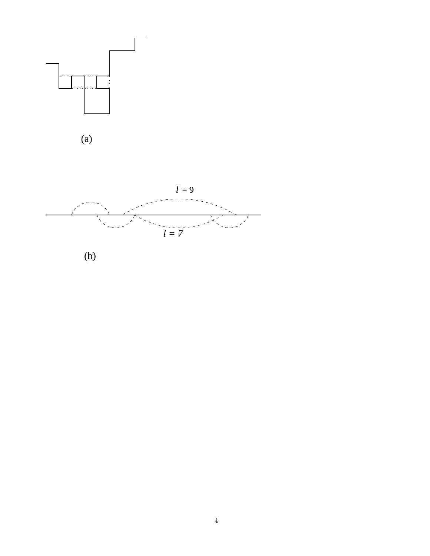



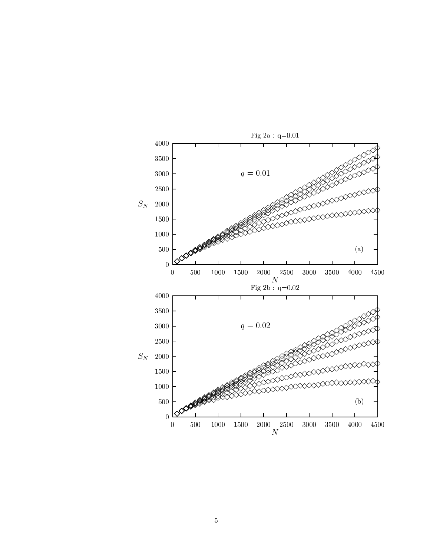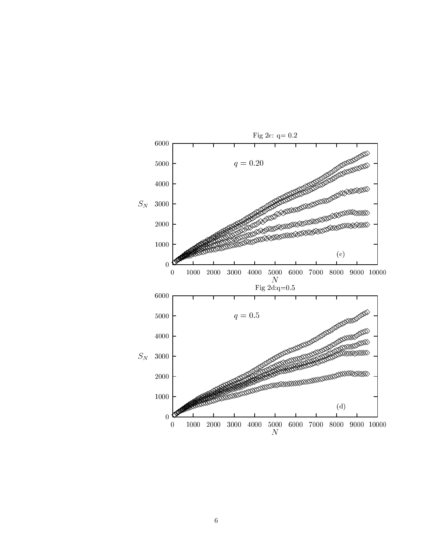